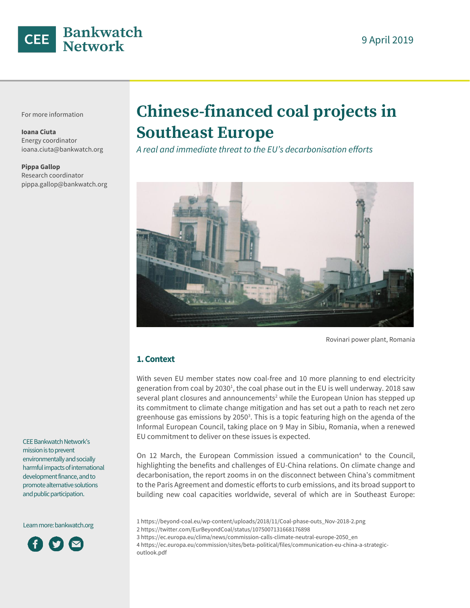

For more information

**Ioana Ciuta** Energy coordinator ioana.ciuta@bankwatch.org

**Pippa Gallop** Research coordinator pippa.gallop@bankwatch.org

# **Chinese-financed coal projects in Southeast Europe**

*A real and immediate threat to the EU's decarbonisation efforts*



Rovinari power plant, Romania

## **1. Context**

With seven EU member states now coal-free and 10 more planning to end electricity generation from coal by 2030<sup>1</sup>, the coal phase out in the EU is well underway. 2018 saw several plant closures and announcements<sup>2</sup> while the European Union has stepped up its commitment to climate change mitigation and has set out a path to reach net zero greenhouse gas emissions by 2050 $3$ . This is a topic featuring high on the agenda of the Informal European Council, taking place on 9 May in Sibiu, Romania, when a renewed EU commitment to deliver on these issues is expected.

On 12 March, the European Commission issued a communication<sup>4</sup> to the Council, highlighting the benefits and challenges of EU-China relations. On climate change and decarbonisation, the report zooms in on the disconnect between China's commitment to the Paris Agreement and domestic efforts to curb emissions, and its broad support to building new coal capacities worldwide, several of which are in Southeast Europe:

- 1 [https://beyond-coal.eu/wp-content/uploads/2018/11/Coal-phase-outs\\_Nov-2018-2.png](https://beyond-coal.eu/wp-content/uploads/2018/11/Coal-phase-outs_Nov-2018-2.png)
- 2 <https://twitter.com/EurBeyondCoal/status/1075007131668176898>
- 3 [https://ec.europa.eu/clima/news/commission-calls-climate-neutral-europe-2050\\_en](https://ec.europa.eu/clima/news/commission-calls-climate-neutral-europe-2050_en)

4 [https://ec.europa.eu/commission/sites/beta-political/files/communication-eu-china-a-strategic](https://ec.europa.eu/commission/sites/beta-political/files/communication-eu-china-a-strategic-outlook.pdf)[outlook.pdf](https://ec.europa.eu/commission/sites/beta-political/files/communication-eu-china-a-strategic-outlook.pdf)

CEE Bankwatch Network's mission is to prevent environmentally and socially harmful impacts of international development finance, and to promote alternative solutions and public participation.

Learn more[: bankwatch.org](http://bankwatch.org/)

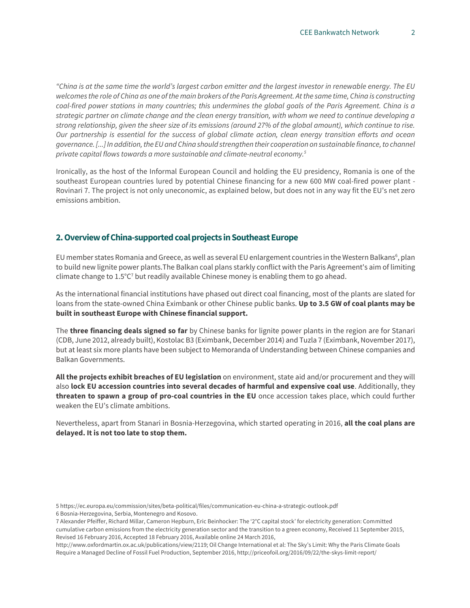*"China is at the same time the world's largest carbon emitter and the largest investor in renewable energy. The EU welcomes the role of China as one of the main brokers of the Paris Agreement. At the same time, China is constructing coal-fired power stations in many countries; this undermines the global goals of the Paris Agreement. China is a strategic partner on climate change and the clean energy transition, with whom we need to continue developing a strong relationship, given the sheer size of its emissions (around 27% of the global amount), which continue to rise. Our partnership is essential for the success of global climate action, clean energy transition efforts and ocean governance. [...] In addition, the EU and China should strengthen their cooperation on sustainable finance, to channel private capital flows towards a more sustainable and climate-neutral economy.<sup>5</sup>*

Ironically, as the host of the Informal European Council and holding the EU presidency, Romania is one of the southeast European countries lured by potential Chinese financing for a new 600 MW coal-fired power plant - Rovinari 7. The project is not only uneconomic, as explained below, but does not in any way fit the EU's net zero emissions ambition.

## **2. Overview of China-supported coal projects in Southeast Europe**

EU member states Romania and Greece, as well as several EU enlargement countries in the Western Balkans<sup>6</sup>, plan to build new lignite power plants.The Balkan coal plans starkly conflict with the Paris Agreement's aim of limiting climate change to  $1.5^{\circ}C$ <sup>7</sup> but readily available Chinese money is enabling them to go ahead.

As the international financial institutions have phased out direct coal financing, most of the plants are slated for loans from the state-owned China Eximbank or other Chinese public banks. **Up to 3.5 GW of coal plants may be built in southeast Europe with Chinese financial support.**

The **three financing deals signed so far** by Chinese banks for lignite power plants in the region are for Stanari (CDB, June 2012, already built), Kostolac B3 (Eximbank, December 2014) and Tuzla 7 (Eximbank, November 2017), but at least six more plants have been subject to Memoranda of Understanding between Chinese companies and Balkan Governments.

**All the projects exhibit breaches of EU legislation** on environment, state aid and/or procurement and they will also **lock EU accession countries into several decades of harmful and expensive coal use**. Additionally, they **threaten to spawn a group of pro-coal countries in the EU** once accession takes place, which could further weaken the EU's climate ambitions.

Nevertheless, apart from Stanari in Bosnia-Herzegovina, which started operating in 2016, **all the coal plans are delayed. It is not too late to stop them.**

<sup>5</sup> <https://ec.europa.eu/commission/sites/beta-political/files/communication-eu-china-a-strategic-outlook.pdf> 6 Bosnia-Herzegovina, Serbia, Montenegro and Kosovo.

<sup>7</sup> Alexander Pfeiffer, Richard Millar, Cameron Hepburn, Eric Beinhocker: The '2°C capital stock' for electricity generation: Committed cumulative carbon emissions from the electricity generation sector and the transition to a green economy, Received 11 September 2015, Revised 16 February 2016, Accepted 18 February 2016, Available online 24 March 2016,

http://www.oxfordmartin.ox.ac.uk/publications/view/2119; Oil Change International et al: The Sky's Limit: Why the Paris Climate Goals Require a Managed Decline of Fossil Fuel Production, September 2016, http://priceofoil.org/2016/09/22/the-skys-limit-report/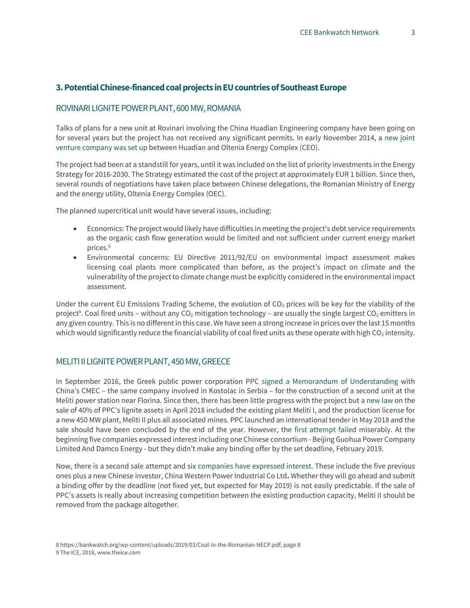## **3. Potential Chinese-financed coal projects in EU countries of Southeast Europe**

#### ROVINARI LIGNITE POWER PLANT, 600 MW, ROMANIA

Talks of plans for a new unit at Rovinari involving the China Huadian Engineering company have been going on for several years but the project has not received any significant permits. In early November 2014, a [new joint](http://www.mediafax.ro/economic/ce-oltenia-si-china-huadian-au-semnat-acordul-de-constructie-a-noului-grup-energetic-la-rovinari-13481949)  [venture company was set up](http://www.mediafax.ro/economic/ce-oltenia-si-china-huadian-au-semnat-acordul-de-constructie-a-noului-grup-energetic-la-rovinari-13481949) between Huadian and Oltenia Energy Complex (CEO).

The project had been at a standstill for years, until it was included on the list of priority investments in the Energy Strategy for 2016-2030. The Strategy estimated the cost of the project at approximately EUR 1 billion. Since then, several rounds of negotiations have taken place between Chinese delegations, the Romanian Ministry of Energy and the energy utility, Oltenia Energy Complex (OEC).

The planned supercritical unit would have several issues, including:

- Economics: The project would likely have difficulties in meeting the project's debt service requirements as the organic cash flow generation would be limited and not sufficient under current energy market prices.<sup>8</sup>
- Environmental concerns: EU Directive 2011/92/EU on environmental impact assessment makes licensing coal plants more complicated than before, as the project's impact on climate and the vulnerability of the project to climate change must be explicitly considered in the environmental impact assessment.

Under the current EU Emissions Trading Scheme, the evolution of  $CO<sub>2</sub>$  prices will be key for the viability of the project<sup>9</sup>. Coal fired units – without any CO<sub>2</sub> mitigation technology – are usually the single largest CO<sub>2</sub> emitters in any given country. This is no different in this case. We have seen a strong increase in prices over the last 15 months which would significantly reduce the financial viability of coal fired units as these operate with high  $CO<sub>2</sub>$  intensity.

#### MELITI II LIGNITE POWER PLANT, 450 MW, GREECE

In September 2016, the Greek public power corporation PPC [signed a Memorandum of](https://energypress.eu/ppc-chinas-cmec-sign-mou-for-new-power-station/) [Understanding w](https://energypress.eu/ppc-chinas-cmec-sign-mou-for-new-power-station/)ith China's CMEC – the same company involved in Kostolac in Serbia – for the construction of a second unit at the Meliti power station near Florina. Since then, there has been little progress with the project bu[t a new law](https://www.reuters.com/article/us-eurozone-greece-publicpower/greek-mps-allow-power-plant-sales-govt-says-not-selling-family-silver-idUSKBN1HW1D8) on the sale of 40% of PPC's lignite assets in April 2018 included the existing plant Meliti I, and the production license for a new 450 MW plant, Meliti II plus all associated mines. PPC launched an international tender in May 2018 and the sale should have been concluded by the end of the year. However, the [first attempt failed](https://energypost.eu/greece-lignite-asset-sale-failure-could-shift-focus-to-electricity-market-reform-and-renewables/?utm_campaign=shareaholic&utm_medium=twitter&utm_source=socialnetwork) miserably. At the beginning five companies expressed interest including one Chinese consortium - Beijing Guohua Power Company Limited And Damco Energy - but they didn't make any binding offer by the set deadline, February 2019.

Now, there is a second sale attempt and six [companies have expressed interest.](http://www.ekathimerini.com/238634/article/ekathimerini/business/six-suitors-for-ppc-lignite-plants-including-a-second-firm-from-china) These include the five previous ones plus a new Chinese investor, China Western Power Industrial Co Ltd**.** Whether they will go ahead and submit a binding offer by the deadline (not fixed yet, but expected for May 2019) is not easily predictable. If the sale of PPC's assets is really about increasing competition between the existing production capacity, Meliti II should be removed from the package altogether.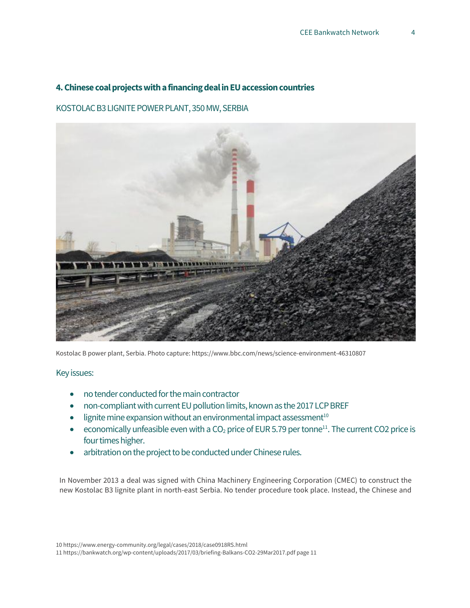## **4. Chinese coal projects with a financing deal in EU accession countries**

## KOSTOLAC B3 LIGNITE POWER PLANT, 350 MW, SERBIA



Kostolac B power plant, Serbia. Photo capture: https://www.bbc.com/news/science-environment-46310807

## Key issues:

- no tender conducted for the main contractor
- non-compliant with current EU pollution limits, known as the 2017 LCP BREF
- $\bullet$  lignite mine expansion without an environmental impact assessment<sup>10</sup>
- economically unfeasible even with a  $CO<sub>2</sub>$  price of EUR 5.79 per tonne<sup>11</sup>. The current CO2 price is four times higher.
- arbitration on the project to be conducted under Chinese rules.

In November 2013 [a deal was signed with China Machinery Engineering Corporation \(CMEC\) t](http://en.cmec.com/xwzx/gsxw/201311/t20131121_133297.html)o construct the new Kostolac B3 lignite plant in north-east Serbia. No tender procedure took place. Instead, the Chinese and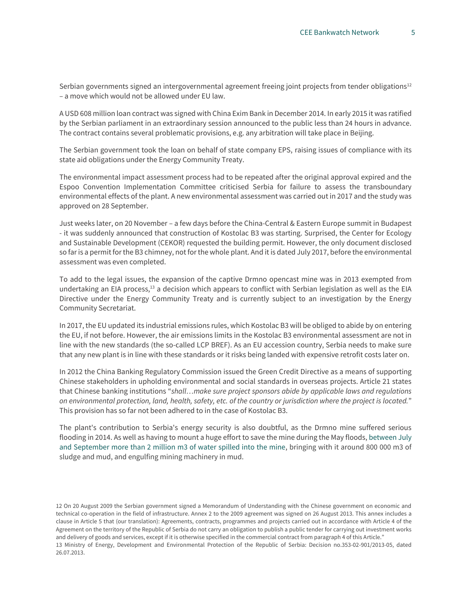Serbian governments signed an intergovernmental agreement freeing joint projects from tender obligations $12$ – a move which would not be allowed under EU law.

A USD 608 million loan contract wa[s signed with](http://bankwatch.org/news-media/blog/campaign-update-kostolac-b3-lignite-plant-loan-agreement-bypasses-public-debate-and-) [China Exim Bank in December 2014. I](http://bankwatch.org/news-media/blog/campaign-update-kostolac-b3-lignite-plant-loan-agreement-bypasses-public-debate-and-)n early 2015 it was ratified by the Serbian parliament in an extraordinary session announced to the public less than 24 hours in advance. The contract contains several problematic provisions, e.g. any arbitration will take place in Beijing.

The Serbian government took the loan on behalf of state company EPS, [raising issues of compliance](http://bankwatch.org/publications/risks-coal-and-electricity-investments-western-balkans-ukraine-and-moldova-due-state-ai) [with its](http://bankwatch.org/publications/risks-coal-and-electricity-investments-western-balkans-ukraine-and-moldova-due-state-ai)  [state aid obligations u](http://bankwatch.org/publications/risks-coal-and-electricity-investments-western-balkans-ukraine-and-moldova-due-state-ai)nder th[e Energy](https://www.energy-community.org/) [Community Treaty.](https://www.energy-community.org/)

The environmental impact assessment process had to be repeated after the original approval expired and the [Espoo Convention Implementation](http://bankwatch.org/news-media/blog/cross-border-coal-pollution-first-time-under-scrutiny-un-body) [Committee c](http://bankwatch.org/news-media/blog/cross-border-coal-pollution-first-time-under-scrutiny-un-body)riticised Serbia for failure to assess the transboundary environmental effects of the plant. A new environmental assessment was carried out in 2017 and the study was approved on 28 September.

Just weeks later, on 20 November – a few days before th[e China-Central & Eastern Europe](http://www.china-ceec.org/eng/) [summit in](http://www.china-ceec.org/eng/) Budapest - it was [suddenly announced t](http://www.srbija.gov.rs/vesti/vest.php?id=125358)hat construction of Kostolac B3 was starting. Surprised, the Center for Ecology and Sustainable Development [\(CEKOR\) r](https://www.facebook.com/CentarEkologijaOdrziviRazvoj/)equested the building permit. However, the only document disclosed so far is a permit for the B3 chimney, not for the whole plant. And it is dated July 2017, before the environmental assessment was even completed.

To add to the legal issues, the expansion of the captive Drmno opencast mine was in 2013 exempted from undertaking an EIA process, $13$  a decision which appears to conflict with Serbian legislation as well as the EIA Directive under the Energy Community Treaty and is currently subject to an investigation by the Energy Community Secretariat.

In 2017, the EU [updated its industrial emissions rules, w](https://bankwatch.org/blog/balkan-governments-unprepared-for-new-eu-pollution-rules)hich Kostolac B3 will be obliged to abide by on entering the EU, if not before. However, the air emissions limits in the Kostolac B3 environmental assessment are not in line with the new standards (the so-called LCP BREF). As an EU accession country, Serbia needs to make sure that any new plant is in line with these standards or it risks being landed with expensive retrofit costs later on.

In 2012 the China Banking Regulatory Commission issued th[e Green Credit Directive a](http://www.cbrc.gov.cn/chinese/home/docView/127DE230BC31468B9329EFB01AF78BD4.html)s a means of supporting Chinese stakeholders in upholding environmental and social standards in overseas projects. Article 21 states that Chinese banking institutions "*shall…make sure project sponsors abide by applicable laws and regulations on environmental protection, land, health, safety, etc. of the country or jurisdiction where the project is located.*" This provision has so far not been adhered to in the case of Kostolac B3.

The plant's contribution to Serbia's energy security is also doubtful, as the Drmno mine suffered serious flooding in 2014. As well as having to mount a huge effort to save the mine during the May floods, [between July](http://www.balkanmagazin.net/struja/cid189-100744/izgradnja-bloka-b3-u-kostolcu-ceka-zeleno-svetlo-iz-kine)  [and September more than 2 million m3](http://www.balkanmagazin.net/struja/cid189-100744/izgradnja-bloka-b3-u-kostolcu-ceka-zeleno-svetlo-iz-kine) [of water spilled into the mine,](http://www.balkanmagazin.net/struja/cid189-100744/izgradnja-bloka-b3-u-kostolcu-ceka-zeleno-svetlo-iz-kine) bringing with it around 800 000 m3 of sludge and mud, and engulfing mining machinery in mud.

12 On 20 August 2009 the Serbian government signed a Memorandum of Understanding with the Chinese government on economic and technical co-operation in the field of infrastructure. Annex 2 to the 2009 agreement was signed on 26 August 2013. This annex includes a clause in Article 5 that (our translation): Agreements, contracts, programmes and projects carried out in accordance with Article 4 of the Agreement on the territory of the Republic of Serbia do not carry an obligation to publish a public tender for carrying out investment works and delivery of goods and services, except if it is otherwise specified in the commercial contract from paragraph 4 of this Article." 13 Ministry of Energy, Development and Environmental Protection of the Republic of Serbia: Decision no.353-02-901/2013-05, dated 26.07.2013.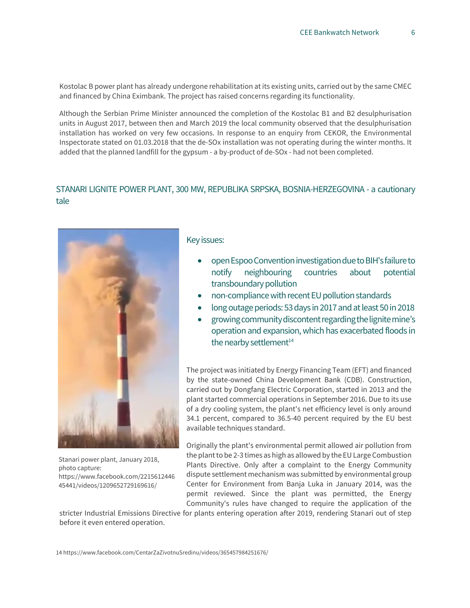Kostolac B power plant has already undergone rehabilitation at its existing units, carried out by the same CMEC and financed by China Eximbank. The project has raised concerns regarding its functionality.

Although the Serbian Prime Minister [announced t](https://www.energetskiportal.rs/blokovi-b1-i-b2-u-kostolcu-dobili-postrojenja-za-odsumporavanje/)he completion of the Kostolac B1 and B2 desulphurisation units in August 2017, between then and March 2019 the local community observed that the desulphurisation installation has worked on very few occasions. In response to an enquiry from CEKOR, the Environmental Inspectorate stated on 01.03.2018 that the de-SOx installation was not operating during the winter months. It added that the planned landfill for the gypsum - a by-product of de-SOx - had not been completed.

## STANARI LIGNITE POWER PLANT, 300 MW, REPUBLIKA SRPSKA, BOSNIA-HERZEGOVINA - a cautionary tale



Stanari power plant, January 2018, photo capture: https://www.facebook.com/2215612446 45441/videos/1209652729169616/

## Key issues:

- open Espoo Convention investigation due to BIH's failure to notify neighbouring countries about potential transboundary pollution
- non-compliance with recent EU pollution standards
- long outage periods: 53 days in 2017 and at least 50 in 2018
- growing community discontent regarding the lignite mine's operation and expansion, which has exacerbated floods in the nearby settlement $14$

The project was initiated b[y Energy Financing Team](http://www.eft-group.net/) (EFT) and financed by the state-owned China Development Bank (CDB). Construction, carried out by Dongfang Electric Corporation, started in 2013 and the plant started commercial operations in September 2016. Due to its use of a dry cooling system, the plant's net efficiency level is only around 34.1 percent, compared to 36.5-40 percent required by the [EU best](http://eur-lex.europa.eu/legal-content/EN/TXT/HTML/?uri=CELEX:32017D1442&from=EN) [available techniques standard.](http://eur-lex.europa.eu/legal-content/EN/TXT/HTML/?uri=CELEX:32017D1442&from=EN)

Originally the plant's environmental permit allowed air pollution from the plant to be 2-3 times as high as allowed by the EU Large Combustion Plants Directive. Only after [a complaint to the Energy Community](http://bankwatch.org/news-media/for-journalists/press-releases/bosnia-and-herzegovina-breaches-energy-community-treaty-co?utm_source=feedburner&utm_medium=feed&utm_campaign=Feed:+Bnkwtch-PR+(Bankwatch+press+releases)) dispute settlement mechanism was submitted by environmental group Center for Environment from Banja Luka in January 2014, [was the](https://www.energy-community.org/portal/page/portal/ENC_HOME/NEWS/News_Details?p_new_id=11281)  [permit r](https://www.energy-community.org/portal/page/portal/ENC_HOME/NEWS/News_Details?p_new_id=11281)eviewed. Since the plant was permitted, the Energy Community's rules have changed to require the application of the

stricter Industrial Emissions Directive for plants entering operation after 2019, rendering Stanari out of step before it even entered operation.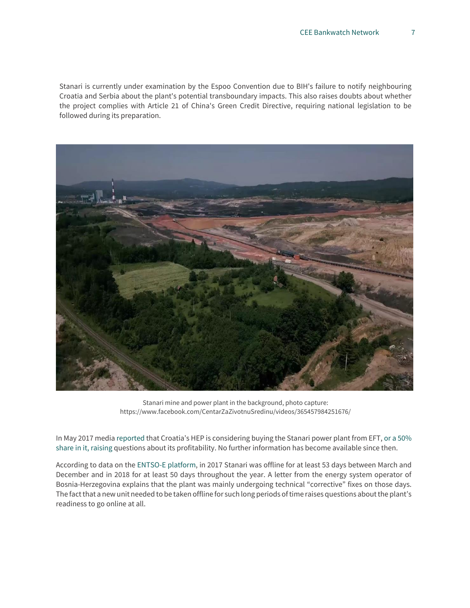Stanari is currently under examination by the Espoo Convention due to BIH's failure to notify neighbouring Croatia and Serbia about the plant's potential transboundary impacts. This also raises doubts about whether the project complies with Article 21 of China's Green Credit Directive, requiring national legislation to be followed during its preparation.



Stanari mine and power plant in the background, photo capture: https://www.facebook.com/CentarZaZivotnuSredinu/videos/365457984251676/

In May 2017 media [reported](http://af.reuters.com/article/energyOilNews/idAFL8N1IO3XI) that Croatia's HEP is considering buying the Stanari power plant from EFT, [or a](https://www.vecernji.ba/vijesti/hep-zeli-kupiti-50-posto-te-stanari-u-doboju-investicija-od-nekoliko-stotina-mil-km-1171311) [50%](https://www.vecernji.ba/vijesti/hep-zeli-kupiti-50-posto-te-stanari-u-doboju-investicija-od-nekoliko-stotina-mil-km-1171311)  [share in it, r](https://www.vecernji.ba/vijesti/hep-zeli-kupiti-50-posto-te-stanari-u-doboju-investicija-od-nekoliko-stotina-mil-km-1171311)aising questions about its profitability. No further information has become available since then.

According to data on the [ENTSO-E platform, i](https://goo.gl/PRBTZ1)n 2017 Stanari was offline for at least 53 days between March and December and in 2018 for at least 50 days throughout the year. A letter from the energy system operator of Bosnia-Herzegovina explains that the plant was mainly undergoing technical "corrective" fixes on those days. The fact that a new unit needed to be taken offline for such long periods of time raises questions about the plant's readiness to go online at all.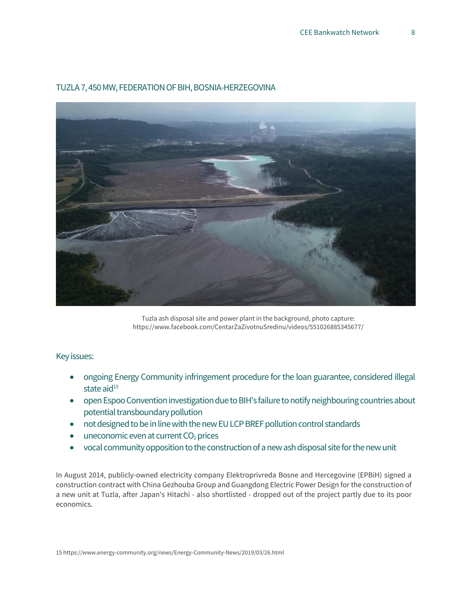

## TUZLA 7, 450 MW, FEDERATION OF BIH, BOSNIA-HERZEGOVINA

Tuzla ash disposal site and power plant in the background, photo capture: https://www.facebook.com/CentarZaZivotnuSredinu/videos/551026885345677/

## Key issues:

- ongoing Energy Community infringement procedure for the loan guarantee, considered illegal state aid $15$
- open Espoo Convention investigation due to BIH's failure to notify neighbouring countries about potential transboundary pollution
- not designed to be in line with the new EU LCP BREF pollution control standards
- $\bullet$  uneconomic even at current  $CO<sub>2</sub>$  prices
- vocal community opposition tothe construction of a new ash disposal site for the new unit

In August 2014, publicly-owned electricity company Elektroprivreda Bosne and Hercegovine (EPBiH) signed a constructio[n contract with China Gezhouba Group a](http://www.cggc.cc/2014-09/10/content_18574821.htm)nd Guangdong Electric Power Design for the construction of a new unit at Tuzla, after Japan's Hitachi - [also shortlisted -](http://www.vidiportal.ba/novosti/drtvo/27525-blok-7-ko-su-akteri-prevare-stoljea-u-tuzli) [dropped out of the project p](http://www.vidiportal.ba/novosti/drtvo/27525-blok-7-ko-su-akteri-prevare-stoljea-u-tuzli)artly due to its poor economics.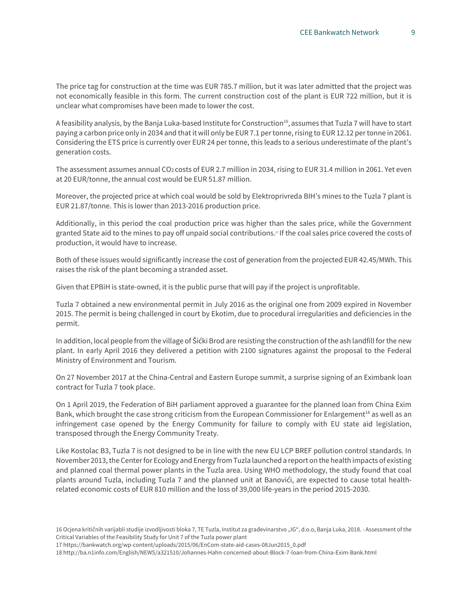The price tag for construction at the time was EUR 785.7 million, but it was later [admitted that](http://www.avaz.ba/clanak/203081/jasarevic-uvjeti-razvojne-banke-kine-za-gradnju-bloka-7-u-tuzli-neprihvatljivi?url=clanak/203081/jasarevic-uvjeti-razvojne-banke-kine-za-gradnju-bloka-7-u-tuzli-neprihvatljivi) [the project was](http://www.avaz.ba/clanak/203081/jasarevic-uvjeti-razvojne-banke-kine-za-gradnju-bloka-7-u-tuzli-neprihvatljivi?url=clanak/203081/jasarevic-uvjeti-razvojne-banke-kine-za-gradnju-bloka-7-u-tuzli-neprihvatljivi)  [not economically feasible i](http://www.avaz.ba/clanak/203081/jasarevic-uvjeti-razvojne-banke-kine-za-gradnju-bloka-7-u-tuzli-neprihvatljivi?url=clanak/203081/jasarevic-uvjeti-razvojne-banke-kine-za-gradnju-bloka-7-u-tuzli-neprihvatljivi)n this form. The current [construction cost o](http://www.klix.ba/biznis/investicije/bajazit-jasarevic-direktor-elektroprivrede-bih-pripremni-radovi-na-izgradnji-bloka-7-moguci-u-2017/160427008)f the plant is EUR 722 million, but it is unclear what compromises have been made to lower the cost.

A feasibility analysis, by the Banja Luka-based Institute for Construction<sup>16</sup>, assumes that Tuzla 7 will have to start paying a carbon price only in 2034 and that it will only be EUR 7.1 per tonne, rising to EUR 12.12 per tonne in 2061. Considering the ETS price is currently over EUR 24 per tonne, this leads to a serious underestimate of the plant's generation costs.

The assessment assumes annual CO2 costs of EUR 2.7 million in 2034, rising to EUR 31.4 million in 2061. Yet even at 20 EUR/tonne, the annual cost would be EUR 51.87 million.

Moreover, the projected price at which coal would be sold by Elektroprivreda BIH's mines to the Tuzla 7 plant is EUR 21.87/tonne. This is lower than 2013-2016 production price.

Additionally, in this period the coal production price was higher than the sales price, while the Government granted State aid to the mines to pay off unpaid social contributions.<sup>17</sup> If the coal sales price covered the costs of production, it would have to increase.

Both of these issues would significantly increase the cost of generation from the projected EUR 42.45/MWh. This raises the risk of the plant becoming a stranded asset.

Given that EPBiH is state-owned, it is the public purse that will pay if the project is unprofitable.

Tuzla 7 obtained a new environmental permit in July 2016 as the original one from 2009 expired in November 2015. The permit is being [challenged in court](https://bankwatch.org/news-media/for-journalists/press-releases/lawsuits-and-complaints-pile-against-planned-bosnia-and-he) [b](https://bankwatch.org/news-media/for-journalists/press-releases/lawsuits-and-complaints-pile-against-planned-bosnia-and-he)y Ekotim, due to procedural irregularities and deficiencies in the permit.

In addition, local people from the village of Šićki Brod are resisting the construction of the ash landfill for the new plant. In early April 2016 they [delivered a petition with 2100 signatures](http://balkans.aljazeera.net/vijesti/zitelji-tuzlanskih-naselja-termoelektrana-uzrok-karcinoma) against the proposal to the Federal Ministry of Environment and Tourism.

On 27 November 2017 at the China-Central and Eastern Europe summit, [a surprise signing o](https://bankwatch.org/press_release/rushed-loan-approval-for-tuzla-7-coal-plant-but-project-far-from-ready)f an Eximbank loan contract for Tuzla 7 took place.

On 1 April 2019, the Federation of BiH parliament approved a guarantee for the planned loan from China Exim Bank, which brought the case strong criticism from the European Commissioner for Enlargement<sup>18</sup> as well as an infringement case opened by the Energy Community for failure to comply with EU state aid legislation, transposed through the Energy Community Treaty.

Like Kostolac B3, Tuzla 7 is not designed to be in line with the new EU LCP BREF pollution control standards. In November 2013, the Center for Ecology and Energy from Tuzla launche[d a](http://www.ekologija.ba/userfiles/file/Uticaj%20termoelektrana%20na%20zdravlja%20stanovnistva.pdf) [report on the health impacts o](http://www.ekologija.ba/userfiles/file/Uticaj%20termoelektrana%20na%20zdravlja%20stanovnistva.pdf)f existing and planned coal thermal power plants in the Tuzla area. Using WHO methodology, the study found that coal plants around Tuzla, including Tuzla 7 and the planned unit at Banovići, are expected to cause total healthrelated economic costs of EUR 810 million and the loss of 39,000 life-years in the period 2015-2030.

17 [https://bankwatch.org/wp-content/uploads/2015/06/EnCom-state-aid-cases-08Jun2015\\_0.pdf](https://bankwatch.org/wp-content/uploads/2015/06/EnCom-state-aid-cases-08Jun2015_0.pdf)

18 <http://ba.n1info.com/English/NEWS/a321510/Johannes-Hahn-concerned-about-Block-7-loan-from-China-Exim-Bank.html>

<sup>16</sup> Ocjena kritičnih varijabli studije izvodljivosti bloka 7, TE Tuzla, Institut za građevinarstvo "IG", d.o.o, Banja Luka, 2018. - Assessment of the Critical Variables of the Feasibility Study for Unit 7 of the Tuzla power plant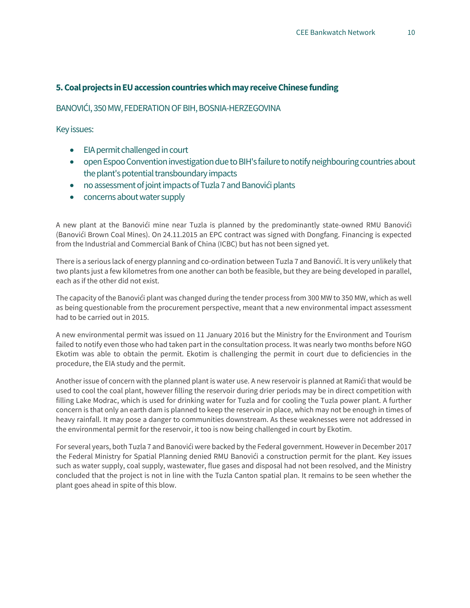## **5. Coal projects in EU accession countries which may receive Chinese funding**

#### BANOVIĆI, 350 MW, FEDERATION OF BIH, BOSNIA-HERZEGOVINA

Key issues:

- EIA permit challenged in court
- open Espoo Convention investigation due to BIH's failure to notify neighbouring countries about the plant's potential transboundary impacts
- no assessment of joint impacts of Tuzla 7 and Banovići plants
- concerns about water supply

A new plant at the Banovići mine near Tuzla is planned by the predominantly state-owned [RMU](http://rmub.ba/) [Banovići](http://rmub.ba/)  (Banovići Brown Coal Mines). On 24.11.2015 an [EPC contract was signed w](http://www.dec-ltd.cn/en/index.php/asnews/detail/?subCategory=News&nid=300)ith Dongfang. Financing is expected from the Industrial and Commercial Bank of China (ICBC) but has not been signed yet.

There is a serious lack of energy planning and co-ordination between Tuzla 7 and Banovići. It is very unlikely that two plants just a few kilometres from one another can both be feasible, but they are being developed in parallel, each as if the other did not exist.

The capacity of the Banovići plant was changed during the tender process from 300 MW to 350 MW, which as well as being questionable from the procurement perspective, meant that a new environmental impact assessment had to be carried out in 2015.

A new environmental permit was issued on 11 January 2016 but the Ministry for the Environment and Tourism failed to notify even those who had taken part in the consultation process. It was nearly two months before NGO [Ekotim w](http://ekotim.net/bs/)as able to obtain the permit. Ekotim is challenging the permit in court due to deficiencies in the procedure, the EIA study and the permit.

Another issue of concern with the planned plant is water use. A new reservoir i[s planned at](http://www.fmoit.gov.ba/ba/clanak/1106/dopuna-studije-o-procjeni-utjecaja-na-okoliscaron-rmu-banovii-dd-akumulacija-ramii) [Ramići](http://www.fmoit.gov.ba/ba/clanak/1106/dopuna-studije-o-procjeni-utjecaja-na-okoliscaron-rmu-banovii-dd-akumulacija-ramii) that would be used to cool the coal plant, however filling the reservoir during drier periods may be in direct competition with filling Lake Modrac, which is used for drinking water for Tuzla and for cooling the Tuzla power plant. A further concern is that only an earth dam is planned to keep the reservoir in place, which may not be enough in times of heavy rainfall. It may pose a danger to communities downstream. As these weaknesses were not addressed in the environmental permit for the reservoir, it too is now being challenged in court by Ekotim.

For several years, both Tuzla 7 and Banovići were backed by the Federal government. However in December 2017 the Federal Ministry for Spatial Planning [denied RMU Banovići a construction](https://bankwatch.org/wp-content/uploads/2017/12/officialdocument-Banovici-permit-denied.pdf) [permit f](https://bankwatch.org/wp-content/uploads/2017/12/officialdocument-Banovici-permit-denied.pdf)or the plant. Key issues such as water supply, coal supply, wastewater, flue gases and disposal had not been resolved, and the Ministry concluded that the project is not in line with the Tuzla Canton spatial plan. It remains to be seen whether the plant goes ahead in spite of this blow.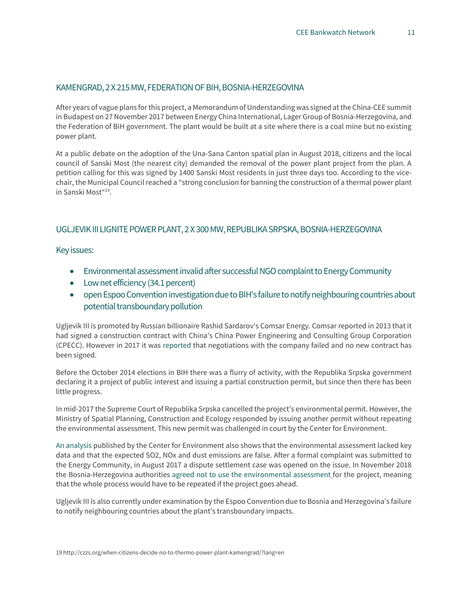#### KAMENGRAD, 2 X 215 MW, FEDERATION OF BIH, BOSNIA-HERZEGOVINA

After years of vague plans for this project, a Memorandum of Understandin[g was signed a](http://en.ceec.net.cn/art/2017/11/30/art_138_1527770.html)t the China-CEE summit in Budapest on 27 November 2017 between Energy China International, Lager Group of Bosnia-Herzegovina, and the Federation of BiH government. The plant would be built at a site where there is a coal mine but no existing power plant.

At a public debate on the adoption of the Una-Sana Canton spatial plan in August 2018, citizens and the local council of Sanski Most (the nearest city) demanded the removal of the power plant project from the plan. A petition calling for this was signed by 1400 Sanski Most residents in just three days too. According to the vicechair, the Municipal Council reached a "strong conclusion for banning the construction of a thermal power plant in Sanski Most"<sup>19</sup>.

## UGLJEVIK III LIGNITE POWER PLANT, 2 X 300 MW, REPUBLIKA SRPSKA, BOSNIA-HERZEGOVINA

Key issues:

- Environmental assessment invalid after successful NGO complaint to Energy Community
- Low net efficiency (34.1 percent)
- open Espoo Convention investigation due to BIH's failure to notify neighbouring countries about potential transboundary pollution

Ugljevik III is promoted by Russian billionaire Rashid Sardarov's Comsar Energy. Comsa[r reported in 2013 t](http://comsar.com/pressnews/press/comsar-energy-signed-epc-contract-china-power-engineering-and-consulting-group)hat it had signed a construction contract with China's China Power Engineering and Consulting Group Corporation (CPECC). However in 2017 it was [reported](https://www.capital.ba/probijeni-svi-rokovi-za-izgradnju-te-ugljevik-3/) that [negotiations with the company failed a](http://www.capital.ba/probijeni-svi-rokovi-za-izgradnju-te-ugljevik-3/)nd no new contract has been signed.

Before the October 2014 elections in BIH there was a flurry of activity, with the Republika Srpska government declaring it a project of public interest and issuing a partial construction permit, but since then there has been little progress.

In mid-2017 the Supreme Court of Republika Srpska cancelled the project's environmental permit. However, the Ministry of Spatial Planning, Construction and Ecology responded by issuing another permit without repeating the environmental assessment. This new permit was challenged in court by the Center for Environment.

[An analysis](http://bankwatch.org/sites/default/files/analyis-Ugljevik-06Oct2014.pdf) published by th[e Center for Environment a](http://www.czzs.org/)lso shows that the environmental assessment lacked key data and that the expected SO2, NOx and dust emissions are false. After a formal complaint was submitted to the Energy Community, in August 2017 [a dispute settlement case was opened](https://www.energy-community.org/news/Energy-Community-News/2017/08/08.html) on the issue. In November 2018 the Bosnia-Herzegovina authorities [agreed not to use the environmental assessment](https://energy-community.org/news/Energy-Community-News/2018/011/28a.html) for the project, meaning that the whole process would have to be repeated if the project goes ahead.

Ugljevik III is also currently under examination by the Espoo Convention due to Bosnia and Herzegovina's failure to notify neighbouring countries about the plant's transboundary impacts.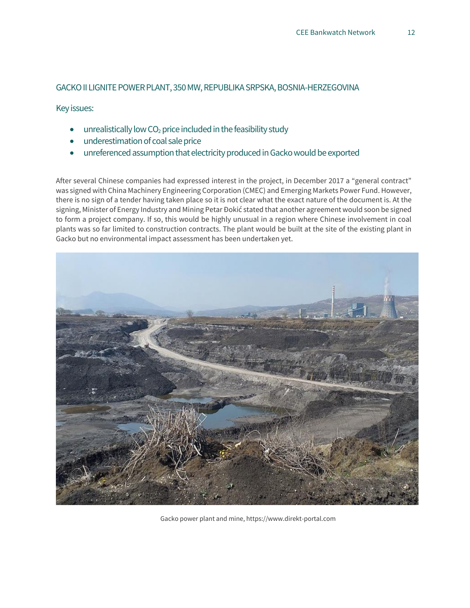## GACKO II LIGNITE POWER PLANT, 350 MW, REPUBLIKA SRPSKA, BOSNIA-HERZEGOVINA

Key issues:

- unrealistically low  $CO<sub>2</sub>$  price included in the feasibility study
- underestimation of coal sale price
- unreferenced assumption that electricity produced in Gacko would be exported

After several Chinese companies had expressed interest in the project, in December 2017 a "general contract" [was signed w](http://www.vladars.net/sr-SP-Cyrl/Vlada/media/vijesti/Pages/Potpisan-Op%C3%85%C2%A1ti-ugovor-o-realizaciji-projekta-izgradnje-Termoelektrane-,,Gacko-2%C3%A2%C2%80%C2%9C.aspx)ith China Machinery Engineering Corporation (CMEC) and Emerging Markets Power Fund. However, there is no sign of a tender having taken place so it is not clear what the exact nature of the document is. At the signing, Minister of Energy Industry and Mining Petar Đokić stated that another agreement would soon be signed to form a project company. If so, this would be highly unusual in a region where Chinese involvement in coal plants was so far limited to construction contracts. The plant would be built at the site of the existing plant in Gacko but no environmental impact assessment has been undertaken yet.



Gacko power plant and mine, https://www.direkt-portal.com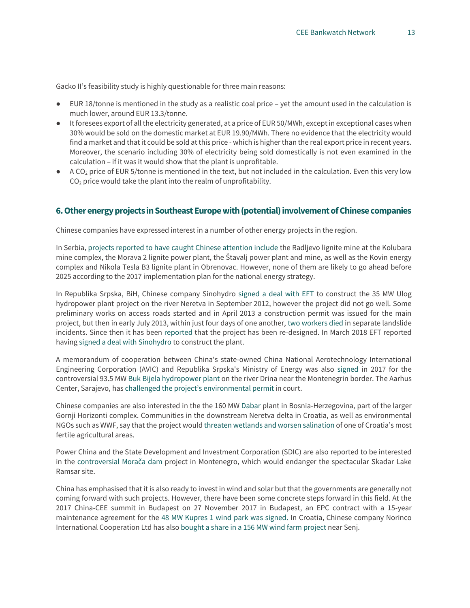Gacko II's [feasibility study is highly questionable f](https://bankwatch.org/blog/planned-gacko-ii-lignite-plant-in-bosnia-herzegovina-likely-to-make-losses-shows-new-analysis)or three main reasons:

- EUR 18/tonne is mentioned in the study as a realistic coal price yet the amount used in the calculation is much lower, around EUR 13.3/tonne.
- It foresees export of all the electricity generated, at a price of EUR 50/MWh, except in exceptional cases when 30% would be sold on the domestic market at EUR 19.90/MWh. There no evidence that the electricity would find a market and that it could be sold at this price - which is higher than the real export price in recent years. Moreover, the scenario including 30% of electricity being sold domestically is not even examined in the calculation – if it was it would show that the plant is unprofitable.
- A CO<sub>2</sub> price of EUR 5/tonne is mentioned in the text, but not included in the calculation. Even this very low  $CO<sub>2</sub>$  price would take the plant into the realm of unprofitability.

### **6. Other energy projects in Southeast Europe with (potential) involvement of Chinese companies**

Chinese companies have expressed interest in a number of other energy projects in the region.

In Serbia, [projects reported to have caught Chinese attention include](http://www.balkanmagazin.net/nafta-i-gas/cid177-100718/prof-dr-zorana-mihajlovic-energetika-i-politika-uvek-idu-zajedno) the Radljevo lignite mine at the Kolubara mine complex, the Morava 2 lignite power plant, the Štavalj power plant and mine, as well as the Kovin energy complex and Nikola Tesla B3 lignite plant in Obrenovac. However, none of them are likely to go ahead before 2025 according to the 2017 implementation plan for the national energy strategy.

In Republika Srpska, BiH, Chinese company Sinohydro [signed a deal with EFT](http://eng.sinohydro.com/index.php?m=content&c=index&a=show&catid=21&id=28) [t](http://eng.sinohydro.com/index.php?m=content&c=index&a=show&catid=21&id=28)o construct the 35 MW Ulog hydropower plant project on the river Neretva in September 2012, however the project did not go well. Some preliminary works on access roads started and in April 2013 a construction permit was issued for the main project, but then in early July 2013, within just four days of one another, [two workers died](http://www.novosti.rs/vesti/planeta.300.html:443196-Banjaluka-Dva-radnika-poginula-gradiliste-zatvoreno) [in](http://www.novosti.rs/vesti/planeta.300.html:443196-Banjaluka-Dva-radnika-poginula-gradiliste-zatvoreno) separate landslide incidents. Since then it has been [reported t](http://koncesije-rs.org/lat/index.php?prikaz=stranica&id=15)hat the project has been re-designed. In March 2018 EFT reported having [signed a deal](http://www.eft-group.net/index.php/news/single/82/EFT-signed-the-contract-for-supervision-of-HPP-Ulog-construction) [with Sinohydro t](http://www.eft-group.net/index.php/news/single/82/EFT-signed-the-contract-for-supervision-of-HPP-Ulog-construction)o construct the plant.

A memorandum of cooperation between China's state-owned China National Aerotechnology International Engineering Corporation (AVIC) and Republika Srpska's Ministry of Energy was also [signed i](https://balkangreenenergynews.com/memorandum-of-cooperation-on-construction-of-hpp-buk-bijela-signed/)n 2017 for the controversial 93.5 MW [Buk Bijela hydropower plant](https://bankwatch.org/project/buk-bijela-the-upper-drina-cascade) on the river Drina near the Montenegrin border. The Aarhus Center, Sarajevo, has [challenged the project's environmenta](https://bankwatch.org/press_release/court-complaints-launched-against-bosnia-herzegovina-hydropower-permits)l permit in court.

Chinese companies are also interested in the the 160 M[W Dabar p](https://renewablesnow.com/news/chinas-dongfang-shows-interest-in-construction-of-dabar-hpp-in-bosnia-574898/)lant in Bosnia-Herzegovina, part of the larger Gornji Horizonti complex. Communities in the downstream Neretva delta in Croatia, as well as environmental NGOs such as WWF, say that the project woul[d threaten](http://croatia.panda.org/en/what_we_do/freshwater/dinaric_arc_sustainable_hydropower_initiative__dashi__/neretva_and_trebinjica_river_basin__bih_cro_/) [wetlands and worsen salination o](http://croatia.panda.org/en/what_we_do/freshwater/dinaric_arc_sustainable_hydropower_initiative__dashi__/neretva_and_trebinjica_river_basin__bih_cro_/)f one of Croatia's most fertile agricultural areas.

Power China and the State Development and Investment Corporation (SDIC) are als[o reported](http://www.vijesti.me/vijesti/kinezi-zele-da-grade-hidroelektrane-na-moraci-940066) [to be interested](http://www.vijesti.me/vijesti/kinezi-zele-da-grade-hidroelektrane-na-moraci-940066)  in the controversia[l Morača dam](http://www.balkaninsight.com/en/article/tender-failure-leaves-moraca-dam-project-hanging) project in Montenegro, which would endanger the spectacular Skadar Lake Ramsar site.

China has emphasised that it is also ready to invest in wind and solar but that the governments are generally not coming forward with such projects. However, there have been some concrete steps forward in this field. At the 2017 China-CEE summit in Budapest on 27 November 2017 in Budapest, an EPC contract with a 15-year maintenance agreement for the [48 MW Kupres 1 wind](http://www.mofcom.gov.cn/article/i/jyjl/m/201711/20171102677286.shtml) [park was signed. I](http://www.mofcom.gov.cn/article/i/jyjl/m/201711/20171102677286.shtml)n Croatia, Chinese company Norinco International Cooperation Ltd has also [bought a share in a 156 MW wind farm project n](https://eng.yidaiyilu.gov.cn/qwyw/rdxw/47334.htm)ear Senj.